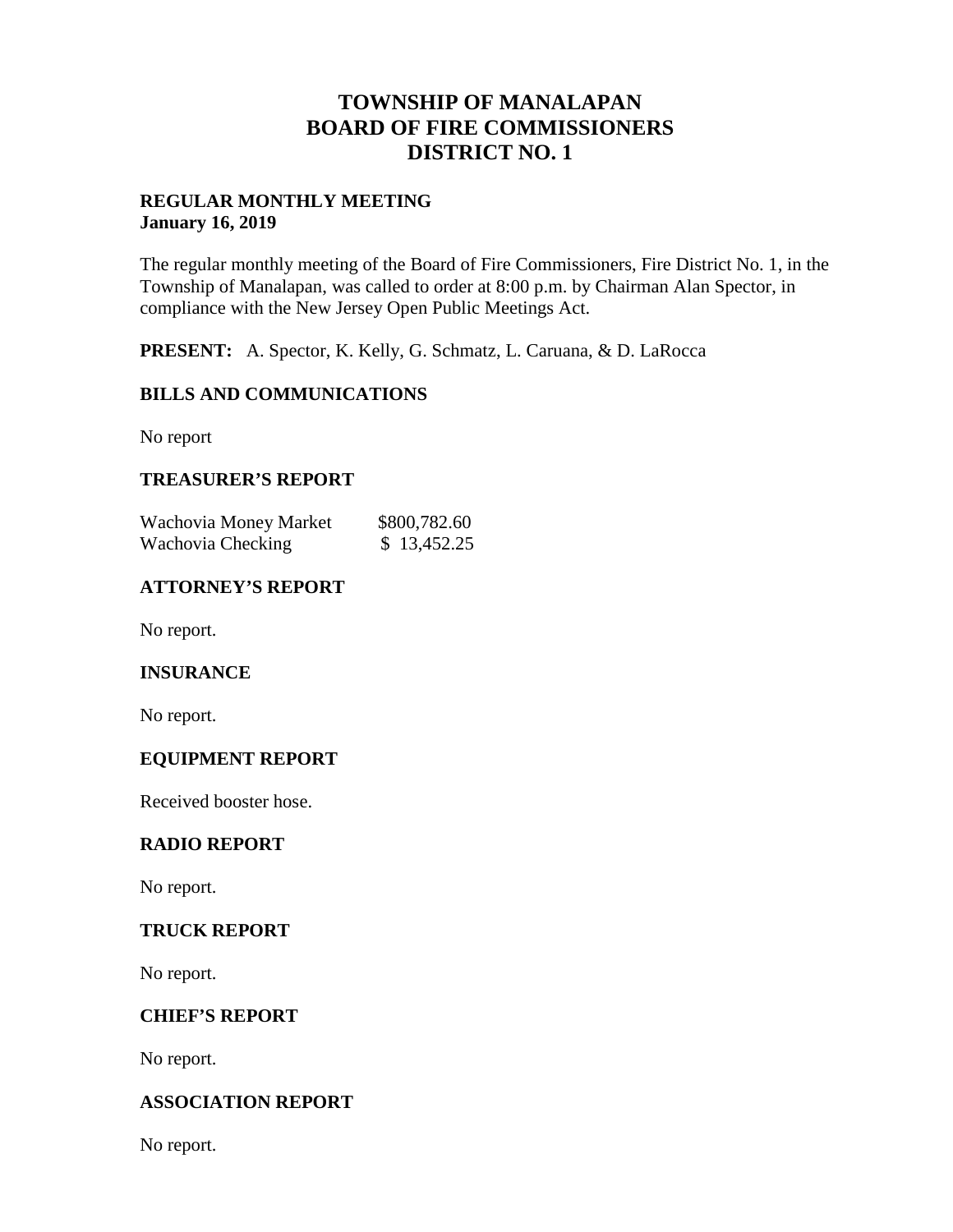## **TOWNSHIP OF MANALAPAN BOARD OF FIRE COMMISSIONERS DISTRICT NO. 1**

#### **REGULAR MONTHLY MEETING January 16, 2019**

The regular monthly meeting of the Board of Fire Commissioners, Fire District No. 1, in the Township of Manalapan, was called to order at 8:00 p.m. by Chairman Alan Spector, in compliance with the New Jersey Open Public Meetings Act.

**PRESENT:** A. Spector, K. Kelly, G. Schmatz, L. Caruana, & D. LaRocca

## **BILLS AND COMMUNICATIONS**

No report

### **TREASURER'S REPORT**

| Wachovia Money Market | \$800,782.60 |
|-----------------------|--------------|
| Wachovia Checking     | \$13,452.25  |

### **ATTORNEY'S REPORT**

No report.

#### **INSURANCE**

No report.

#### **EQUIPMENT REPORT**

Received booster hose.

#### **RADIO REPORT**

No report.

#### **TRUCK REPORT**

No report.

#### **CHIEF'S REPORT**

No report.

#### **ASSOCIATION REPORT**

No report.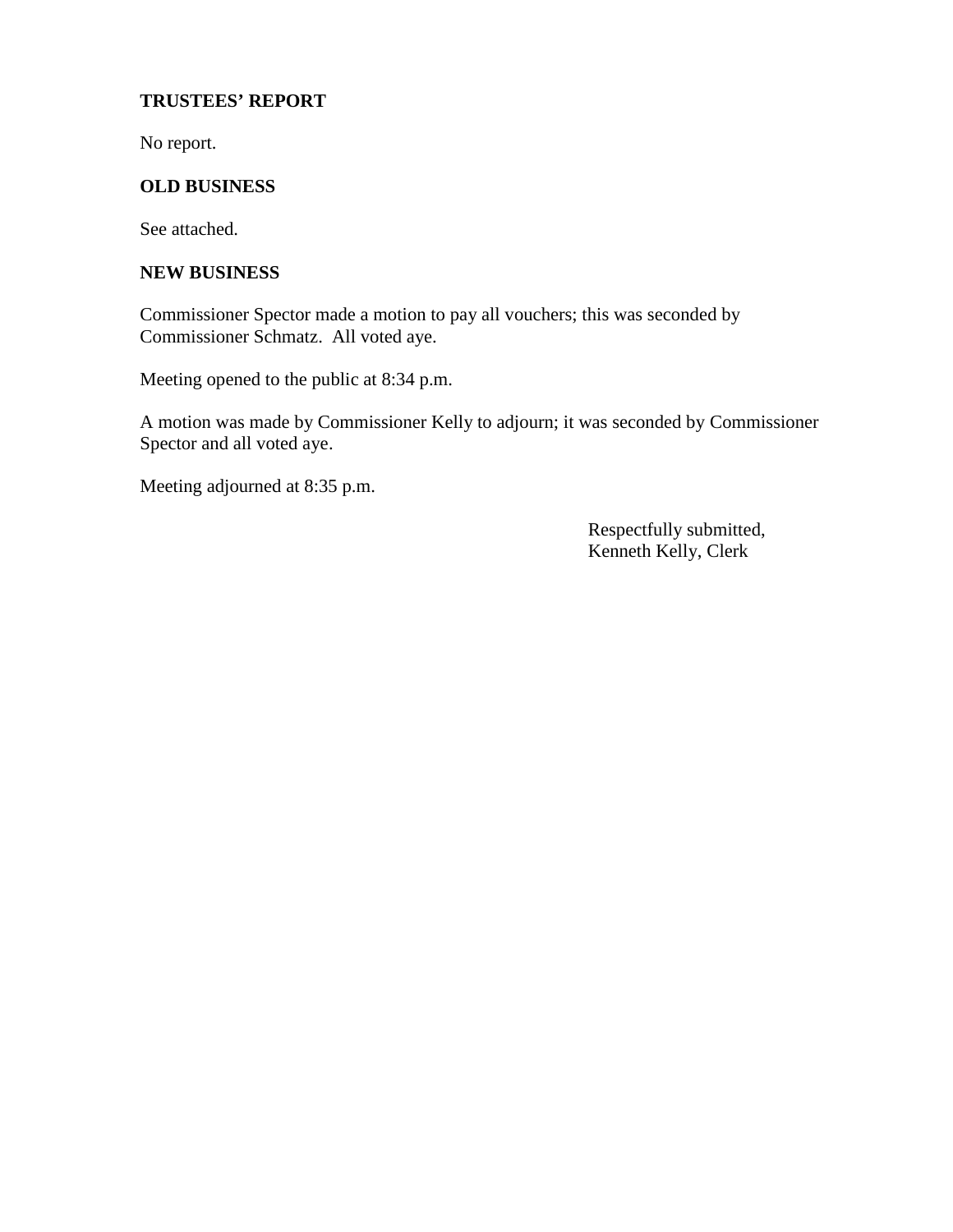#### **TRUSTEES' REPORT**

No report.

## **OLD BUSINESS**

See attached.

#### **NEW BUSINESS**

Commissioner Spector made a motion to pay all vouchers; this was seconded by Commissioner Schmatz. All voted aye.

Meeting opened to the public at 8:34 p.m.

A motion was made by Commissioner Kelly to adjourn; it was seconded by Commissioner Spector and all voted aye.

Meeting adjourned at 8:35 p.m.

Respectfully submitted, Kenneth Kelly, Clerk